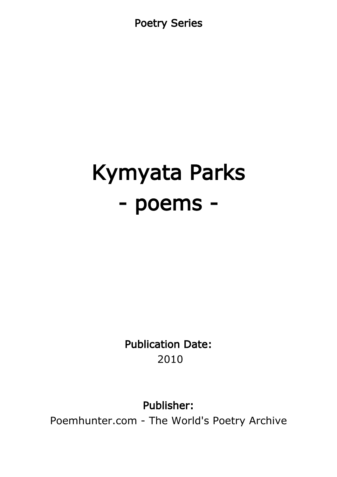Poetry Series

# Kymyata Parks - poems -

Publication Date: 2010

Publisher:

Poemhunter.com - The World's Poetry Archive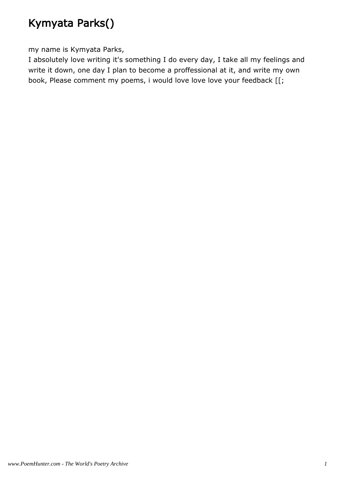# Kymyata Parks()

my name is Kymyata Parks,

I absolutely love writing it's something I do every day, I take all my feelings and write it down, one day I plan to become a proffessional at it, and write my own book, Please comment my poems, i would love love love your feedback [[;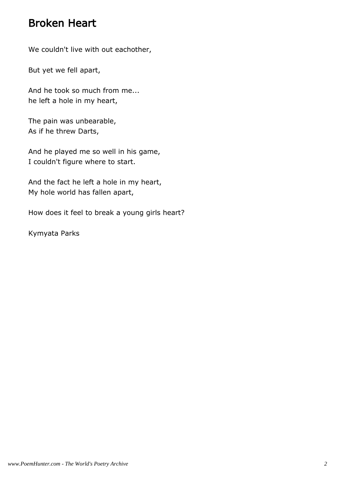#### Broken Heart

We couldn't live with out eachother,

But yet we fell apart,

And he took so much from me... he left a hole in my heart,

The pain was unbearable, As if he threw Darts,

And he played me so well in his game, I couldn't figure where to start.

And the fact he left a hole in my heart, My hole world has fallen apart,

How does it feel to break a young girls heart?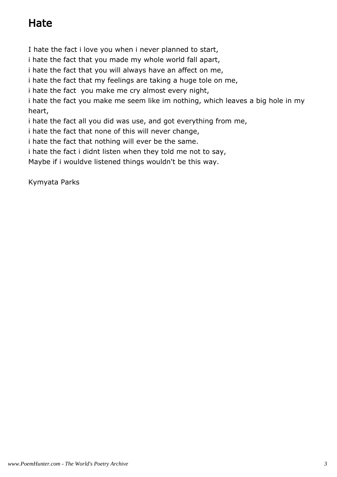# Hate

I hate the fact i love you when i never planned to start,

i hate the fact that you made my whole world fall apart,

i hate the fact that you will always have an affect on me,

i hate the fact that my feelings are taking a huge tole on me,

i hate the fact you make me cry almost every night,

i hate the fact you make me seem like im nothing, which leaves a big hole in my heart,

i hate the fact all you did was use, and got everything from me,

i hate the fact that none of this will never change,

i hate the fact that nothing will ever be the same.

i hate the fact i didnt listen when they told me not to say,

Maybe if i wouldve listened things wouldn't be this way.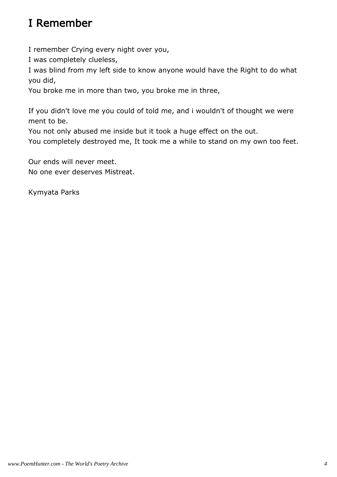# I Remember

I remember Crying every night over you,

I was completely clueless,

I was blind from my left side to know anyone would have the Right to do what you did,

You broke me in more than two, you broke me in three,

If you didn't love me you could of told me, and i wouldn't of thought we were ment to be.

You not only abused me inside but it took a huge effect on the out.

You completely destroyed me, It took me a while to stand on my own too feet.

Our ends will never meet. No one ever deserves Mistreat.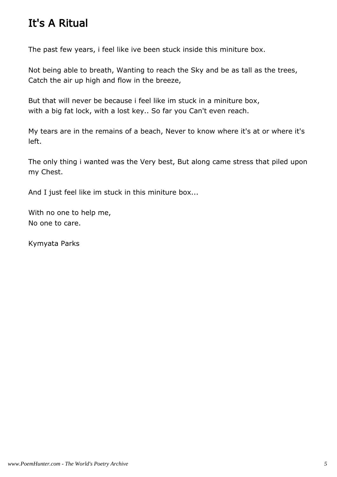## It's A Ritual

The past few years, i feel like ive been stuck inside this miniture box.

Not being able to breath, Wanting to reach the Sky and be as tall as the trees, Catch the air up high and flow in the breeze,

But that will never be because i feel like im stuck in a miniture box, with a big fat lock, with a lost key.. So far you Can't even reach.

My tears are in the remains of a beach, Never to know where it's at or where it's left.

The only thing i wanted was the Very best, But along came stress that piled upon my Chest.

And I just feel like im stuck in this miniture box...

With no one to help me, No one to care.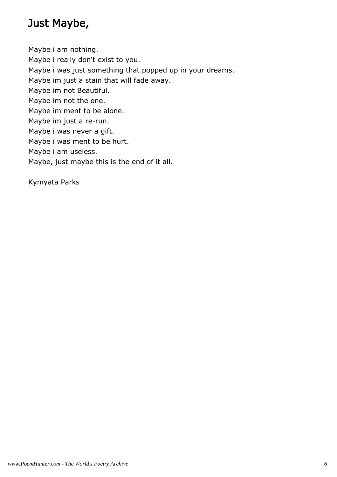## Just Maybe,

Maybe i am nothing. Maybe i really don't exist to you. Maybe i was just something that popped up in your dreams. Maybe im just a stain that will fade away. Maybe im not Beautiful. Maybe im not the one. Maybe im ment to be alone. Maybe im just a re-run. Maybe i was never a gift. Maybe i was ment to be hurt. Maybe i am useless. Maybe, just maybe this is the end of it all.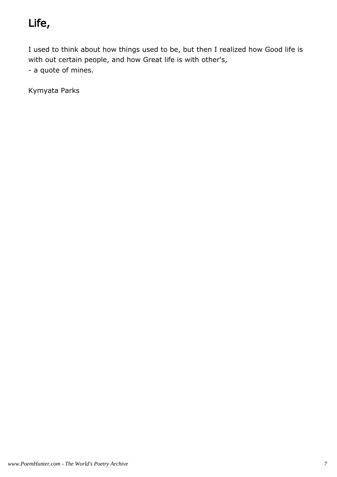# Life,

I used to think about how things used to be, but then I realized how Good life is with out certain people, and how Great life is with other's, - a quote of mines.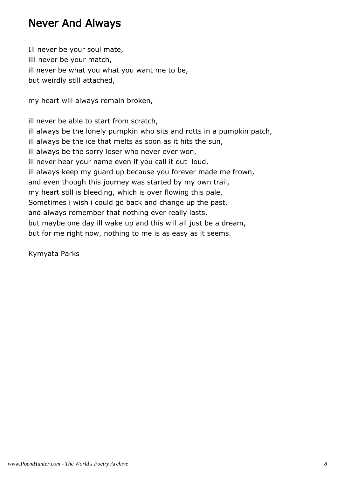#### Never And Always

Ill never be your soul mate, illl never be your match, ill never be what you what you want me to be, but weirdly still attached,

my heart will always remain broken,

ill never be able to start from scratch, ill always be the lonely pumpkin who sits and rotts in a pumpkin patch, ill always be the ice that melts as soon as it hits the sun, ill always be the sorry loser who never ever won, ill never hear your name even if you call it out loud, ill always keep my guard up because you forever made me frown, and even though this journey was started by my own trail, my heart still is bleeding, which is over flowing this pale, Sometimes i wish i could go back and change up the past, and always remember that nothing ever really lasts, but maybe one day ill wake up and this will all just be a dream, but for me right now, nothing to me is as easy as it seems.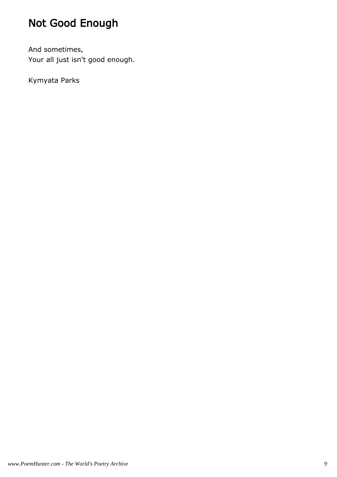# Not Good Enough

And sometimes, Your all just isn't good enough.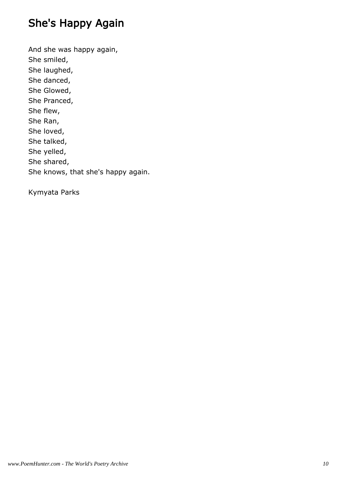# She's Happy Again

And she was happy again, She smiled, She laughed, She danced, She Glowed, She Pranced, She flew, She Ran, She loved, She talked, She yelled, She shared, She knows, that she's happy again.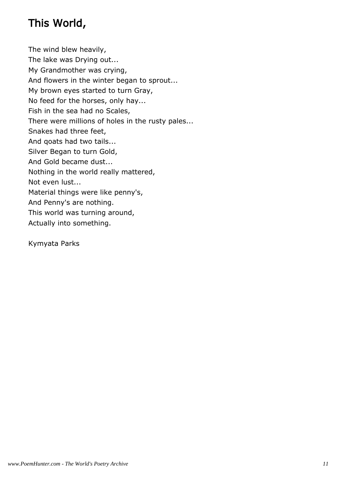# This World,

The wind blew heavily, The lake was Drying out... My Grandmother was crying, And flowers in the winter began to sprout... My brown eyes started to turn Gray, No feed for the horses, only hay... Fish in the sea had no Scales, There were millions of holes in the rusty pales... Snakes had three feet, And qoats had two tails... Silver Began to turn Gold, And Gold became dust... Nothing in the world really mattered, Not even lust... Material things were like penny's, And Penny's are nothing. This world was turning around, Actually into something.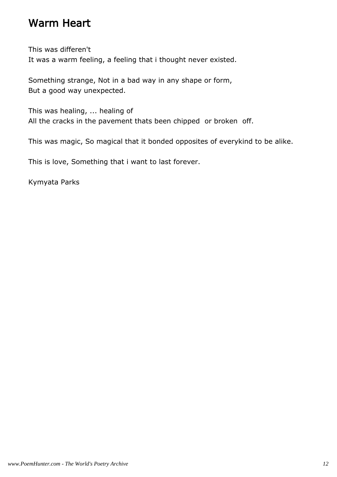#### Warm Heart

This was differen't It was a warm feeling, a feeling that i thought never existed.

Something strange, Not in a bad way in any shape or form, But a good way unexpected.

This was healing, ... healing of All the cracks in the pavement thats been chipped or broken off.

This was magic, So magical that it bonded opposites of everykind to be alike.

This is love, Something that i want to last forever.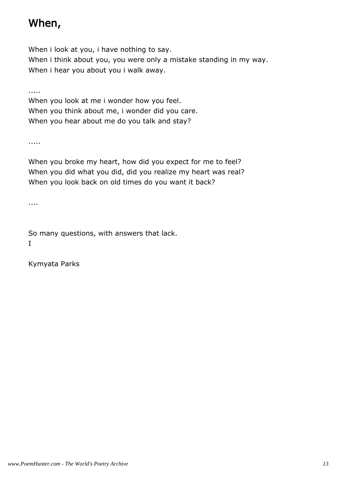#### When,

When i look at you, i have nothing to say. When i think about you, you were only a mistake standing in my way. When i hear you about you i walk away.

.....

When you look at me i wonder how you feel. When you think about me, i wonder did you care. When you hear about me do you talk and stay?

.....

When you broke my heart, how did you expect for me to feel? When you did what you did, did you realize my heart was real? When you look back on old times do you want it back?

....

So many questions, with answers that lack. I